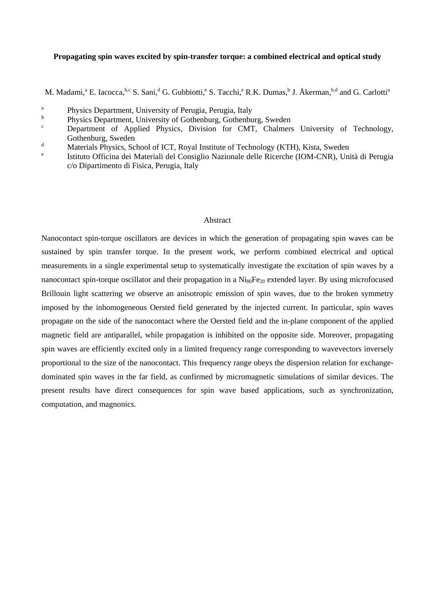# **Propagating spin waves excited by spin-transfer torque: a combined electrical and optical study**

M. Madami,<sup>a</sup> E. Iacocca, **b,c** S. Sani,<sup>d</sup> G. Gubbiotti,<sup>e</sup> S. Tacchi,<sup>e</sup> R.K. Dumas, <sup>b</sup> J. Åkerman, <sup>b,d</sup> and G. Carlotti<sup>a</sup>

- <sup>b</sup> Physics Department, University of Gothenburg, Gothenburg, Sweden<br>Conservant of Applied Physics Division for CMT, Chelmoni
- Department of Applied Physics, Division for CMT, Chalmers University of Technology, Gothenburg, Sweden
- d Materials Physics, School of ICT, Royal Institute of Technology (KTH), Kista, Sweden<br>e Istitute Officine dei Materiali del Consiglio Nazionale della Biografia (JOM CNB), Uni
- <sup>e</sup> Istituto Officina dei Materiali del Consiglio Nazionale delle Ricerche (IOM-CNR), Unità di Perugia c/o Dipartimento di Fisica, Perugia, Italy

### Abstract

Nanocontact spin-torque oscillators are devices in which the generation of propagating spin waves can be sustained by spin transfer torque. In the present work, we perform combined electrical and optical measurements in a single experimental setup to systematically investigate the excitation of spin waves by a nanocontact spin-torque oscillator and their propagation in a Ni<sub>80</sub>Fe<sub>20</sub> extended layer. By using microfocused Brillouin light scattering we observe an anisotropic emission of spin waves, due to the broken symmetry imposed by the inhomogeneous Oersted field generated by the injected current. In particular, spin waves propagate on the side of the nanocontact where the Oersted field and the in-plane component of the applied magnetic field are antiparallel, while propagation is inhibited on the opposite side. Moreover, propagating spin waves are efficiently excited only in a limited frequency range corresponding to wavevectors inversely proportional to the size of the nanocontact. This frequency range obeys the dispersion relation for exchangedominated spin waves in the far field, as confirmed by micromagnetic simulations of similar devices. The present results have direct consequences for spin wave based applications, such as synchronization, computation, and magnonics.

<sup>&</sup>lt;sup>a</sup> Physics Department, University of Perugia, Perugia, Italy<br><sup>b</sup> Physics Department, University of Cotherburg, Cotherbu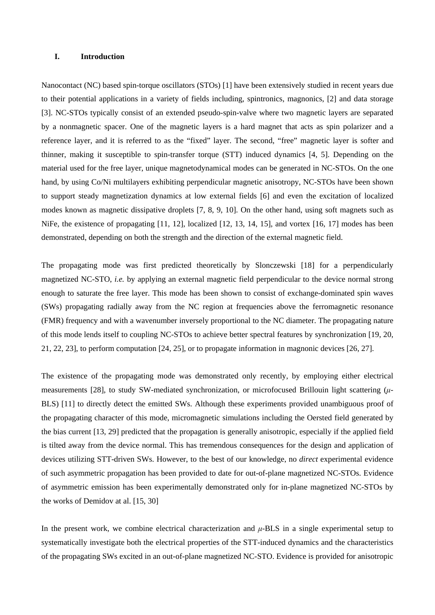# **I. Introduction**

Nanocontact (NC) based spin-torque oscillators (STOs) [1] have been extensively studied in recent years due to their potential applications in a variety of fields including, spintronics, magnonics, [2] and data storage [3]. NC-STOs typically consist of an extended pseudo-spin-valve where two magnetic layers are separated by a nonmagnetic spacer. One of the magnetic layers is a hard magnet that acts as spin polarizer and a reference layer, and it is referred to as the "fixed" layer. The second, "free" magnetic layer is softer and thinner, making it susceptible to spin-transfer torque (STT) induced dynamics [4, 5]. Depending on the material used for the free layer, unique magnetodynamical modes can be generated in NC-STOs. On the one hand, by using Co/Ni multilayers exhibiting perpendicular magnetic anisotropy, NC-STOs have been shown to support steady magnetization dynamics at low external fields [6] and even the excitation of localized modes known as magnetic dissipative droplets [7, 8, 9, 10]. On the other hand, using soft magnets such as NiFe, the existence of propagating [11, 12], localized [12, 13, 14, 15], and vortex [16, 17] modes has been demonstrated, depending on both the strength and the direction of the external magnetic field.

The propagating mode was first predicted theoretically by Slonczewski [18] for a perpendicularly magnetized NC-STO, *i.e.* by applying an external magnetic field perpendicular to the device normal strong enough to saturate the free layer. This mode has been shown to consist of exchange-dominated spin waves (SWs) propagating radially away from the NC region at frequencies above the ferromagnetic resonance (FMR) frequency and with a wavenumber inversely proportional to the NC diameter. The propagating nature of this mode lends itself to coupling NC-STOs to achieve better spectral features by synchronization [19, 20, 21, 22, 23], to perform computation [24, 25], or to propagate information in magnonic devices [26, 27].

The existence of the propagating mode was demonstrated only recently, by employing either electrical measurements [28], to study SW-mediated synchronization, or microfocused Brillouin light scattering (*μ*-BLS) [11] to directly detect the emitted SWs. Although these experiments provided unambiguous proof of the propagating character of this mode, micromagnetic simulations including the Oersted field generated by the bias current [13, 29] predicted that the propagation is generally anisotropic, especially if the applied field is tilted away from the device normal. This has tremendous consequences for the design and application of devices utilizing STT-driven SWs. However, to the best of our knowledge, no *direct* experimental evidence of such asymmetric propagation has been provided to date for out-of-plane magnetized NC-STOs. Evidence of asymmetric emission has been experimentally demonstrated only for in-plane magnetized NC-STOs by the works of Demidov at al. [15, 30]

In the present work, we combine electrical characterization and *μ*-BLS in a single experimental setup to systematically investigate both the electrical properties of the STT-induced dynamics and the characteristics of the propagating SWs excited in an out-of-plane magnetized NC-STO. Evidence is provided for anisotropic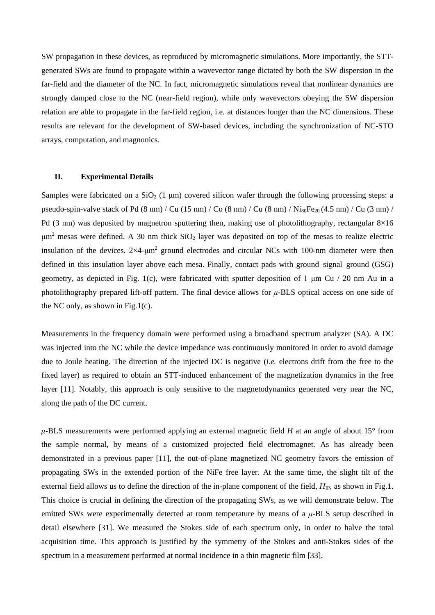SW propagation in these devices, as reproduced by micromagnetic simulations. More importantly, the STTgenerated SWs are found to propagate within a wavevector range dictated by both the SW dispersion in the far-field and the diameter of the NC. In fact, micromagnetic simulations reveal that nonlinear dynamics are strongly damped close to the NC (near-field region), while only wavevectors obeying the SW dispersion relation are able to propagate in the far-field region, i.e. at distances longer than the NC dimensions. These results are relevant for the development of SW-based devices, including the synchronization of NC-STO arrays, computation, and magnonics.

#### **II. Experimental Details**

Samples were fabricated on a  $SiO<sub>2</sub>$  (1 µm) covered silicon wafer through the following processing steps: a pseudo-spin-valve stack of Pd  $(8 \text{ nm})$  / Cu  $(15 \text{ nm})$  / Co  $(8 \text{ nm})$  / Cu  $(8 \text{ nm})$  / Ni<sub>80</sub>Fe<sub>20</sub>  $(4.5 \text{ nm})$  / Cu  $(3 \text{ nm})$  / Pd (3 nm) was deposited by magnetron sputtering then, making use of photolithography, rectangular  $8\times16$  $\mu$ m<sup>2</sup> mesas were defined. A 30 nm thick SiO<sub>2</sub> layer was deposited on top of the mesas to realize electric insulation of the devices.  $2\times4$ - $\mu$ m<sup>2</sup> ground electrodes and circular NCs with 100-nm diameter were then defined in this insulation layer above each mesa. Finally, contact pads with ground–signal–ground (GSG) geometry, as depicted in Fig. 1(c), were fabricated with sputter deposition of 1  $\mu$ m Cu / 20 nm Au in a photolithography prepared lift-off pattern. The final device allows for *μ*-BLS optical access on one side of the NC only, as shown in Fig.1(c).

Measurements in the frequency domain were performed using a broadband spectrum analyzer (SA). A DC was injected into the NC while the device impedance was continuously monitored in order to avoid damage due to Joule heating. The direction of the injected DC is negative (*i.e.* electrons drift from the free to the fixed layer) as required to obtain an STT-induced enhancement of the magnetization dynamics in the free layer [11]. Notably, this approach is only sensitive to the magnetodynamics generated very near the NC, along the path of the DC current.

*μ*-BLS measurements were performed applying an external magnetic field *H* at an angle of about 15° from the sample normal, by means of a customized projected field electromagnet. As has already been demonstrated in a previous paper [11], the out-of-plane magnetized NC geometry favors the emission of propagating SWs in the extended portion of the NiFe free layer. At the same time, the slight tilt of the external field allows us to define the direction of the in-plane component of the field,  $H_{IP}$ , as shown in Fig.1. This choice is crucial in defining the direction of the propagating SWs, as we will demonstrate below. The emitted SWs were experimentally detected at room temperature by means of a *μ*-BLS setup described in detail elsewhere [31]. We measured the Stokes side of each spectrum only, in order to halve the total acquisition time. This approach is justified by the symmetry of the Stokes and anti-Stokes sides of the spectrum in a measurement performed at normal incidence in a thin magnetic film [33].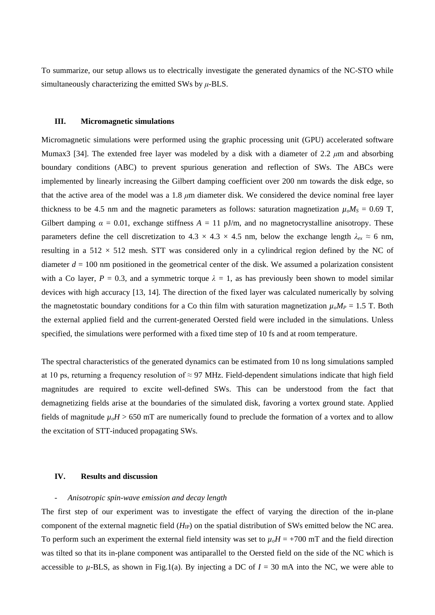To summarize, our setup allows us to electrically investigate the generated dynamics of the NC-STO while simultaneously characterizing the emitted SWs by *μ*-BLS.

### **III. Micromagnetic simulations**

Micromagnetic simulations were performed using the graphic processing unit (GPU) accelerated software Mumax3 [34]. The extended free layer was modeled by a disk with a diameter of 2.2 *μ*m and absorbing boundary conditions (ABC) to prevent spurious generation and reflection of SWs. The ABCs were implemented by linearly increasing the Gilbert damping coefficient over 200 nm towards the disk edge, so that the active area of the model was a 1.8 *μ*m diameter disk. We considered the device nominal free layer thickness to be 4.5 nm and the magnetic parameters as follows: saturation magnetization  $\mu_o M_s = 0.69$  T, Gilbert damping  $\alpha = 0.01$ , exchange stiffness  $A = 11$  pJ/m, and no magnetocrystalline anisotropy. These parameters define the cell discretization to  $4.3 \times 4.3 \times 4.5$  nm, below the exchange length  $\lambda_{ex} \approx 6$  nm, resulting in a  $512 \times 512$  mesh. STT was considered only in a cylindrical region defined by the NC of diameter  $d = 100$  nm positioned in the geometrical center of the disk. We assumed a polarization consistent with a Co layer,  $P = 0.3$ , and a symmetric torque  $\lambda = 1$ , as has previously been shown to model similar devices with high accuracy [13, 14]. The direction of the fixed layer was calculated numerically by solving the magnetostatic boundary conditions for a Co thin film with saturation magnetization  $\mu_o M_P = 1.5$  T. Both the external applied field and the current-generated Oersted field were included in the simulations. Unless specified, the simulations were performed with a fixed time step of 10 fs and at room temperature.

The spectral characteristics of the generated dynamics can be estimated from 10 ns long simulations sampled at 10 ps, returning a frequency resolution of  $\approx$  97 MHz. Field-dependent simulations indicate that high field magnitudes are required to excite well-defined SWs. This can be understood from the fact that demagnetizing fields arise at the boundaries of the simulated disk, favoring a vortex ground state. Applied fields of magnitude  $\mu_o H > 650$  mT are numerically found to preclude the formation of a vortex and to allow the excitation of STT-induced propagating SWs.

### **IV. Results and discussion**

#### - *Anisotropic spin-wave emission and decay length*

The first step of our experiment was to investigate the effect of varying the direction of the in-plane component of the external magnetic field (*H*<sub>IP</sub>) on the spatial distribution of SWs emitted below the NC area. To perform such an experiment the external field intensity was set to  $\mu_0H = +700$  mT and the field direction was tilted so that its in-plane component was antiparallel to the Oersted field on the side of the NC which is accessible to  $\mu$ -BLS, as shown in Fig.1(a). By injecting a DC of  $I = 30$  mA into the NC, we were able to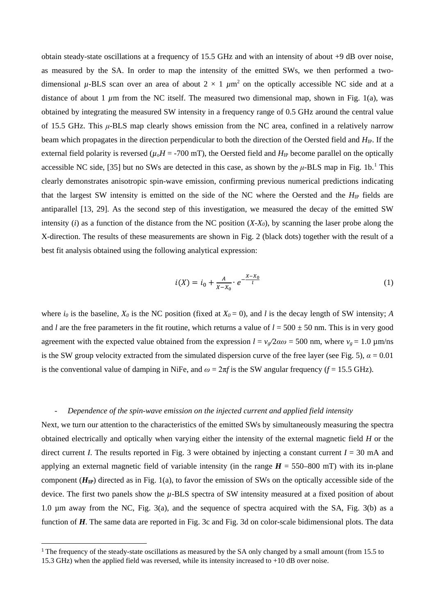obtain steady-state oscillations at a frequency of 15.5 GHz and with an intensity of about +9 dB over noise, as measured by the SA. In order to map the intensity of the emitted SWs, we then performed a twodimensional  $\mu$ -BLS scan over an area of about  $2 \times 1 \mu m^2$  on the optically accessible NC side and at a distance of about 1  $\mu$ m from the NC itself. The measured two dimensional map, shown in Fig. 1(a), was obtained by integrating the measured SW intensity in a frequency range of 0.5 GHz around the central value of 15.5 GHz. This *μ*-BLS map clearly shows emission from the NC area, confined in a relatively narrow beam which propagates in the direction perpendicular to both the direction of the Oersted field and *H*IP. If the external field polarity is reversed ( $\mu_oH = -700$  mT), the Oersted field and  $H_{\rm IP}$  become parallel on the optically accessible NC side, [35] but no SWs are detected in this case, as shown by the *μ*-BLS map in Fig. 1b. [1](#page-4-0) This clearly demonstrates anisotropic spin-wave emission, confirming previous numerical predictions indicating that the largest SW intensity is emitted on the side of the NC where the Oersted and the *H*<sub>IP</sub> fields are antiparallel [13, 29]. As the second step of this investigation, we measured the decay of the emitted SW intensity (*i*) as a function of the distance from the NC position  $(X-X<sub>0</sub>)$ , by scanning the laser probe along the X-direction. The results of these measurements are shown in Fig. 2 (black dots) together with the result of a best fit analysis obtained using the following analytical expression:

$$
i(X) = i_0 + \frac{A}{X - X_0} \cdot e^{-\frac{X - X_0}{l}}
$$
 (1)

where  $i_0$  is the baseline,  $X_0$  is the NC position (fixed at  $X_0 = 0$ ), and *l* is the decay length of SW intensity; *A* and *l* are the free parameters in the fit routine, which returns a value of  $l = 500 \pm 50$  nm. This is in very good agreement with the expected value obtained from the expression  $l = v_g/2a\omega = 500$  nm, where  $v_g = 1.0 \text{ }\mu\text{m/ns}$ is the SW group velocity extracted from the simulated dispersion curve of the free layer (see Fig. 5),  $\alpha = 0.01$ is the conventional value of damping in NiFe, and  $\omega = 2\pi f$  is the SW angular frequency ( $f = 15.5$  GHz).

# - *Dependence of the spin-wave emission on the injected current and applied field intensity*

Next, we turn our attention to the characteristics of the emitted SWs by simultaneously measuring the spectra obtained electrically and optically when varying either the intensity of the external magnetic field *H* or the direct current *I*. The results reported in Fig. 3 were obtained by injecting a constant current  $I = 30$  mA and applying an external magnetic field of variable intensity (in the range  $H = 550-800$  mT) with its in-plane component  $(H_{\text{IP}})$  directed as in Fig. 1(a), to favor the emission of SWs on the optically accessible side of the device. The first two panels show the *µ*-BLS spectra of SW intensity measured at a fixed position of about 1.0 µm away from the NC, Fig. 3(a), and the sequence of spectra acquired with the SA, Fig. 3(b) as a function of *H*. The same data are reported in Fig. 3c and Fig. 3d on color-scale bidimensional plots. The data

<span id="page-4-0"></span><sup>&</sup>lt;sup>1</sup> The frequency of the steady-state oscillations as measured by the SA only changed by a small amount (from 15.5 to 15.3 GHz) when the applied field was reversed, while its intensity increased to +10 dB over noise.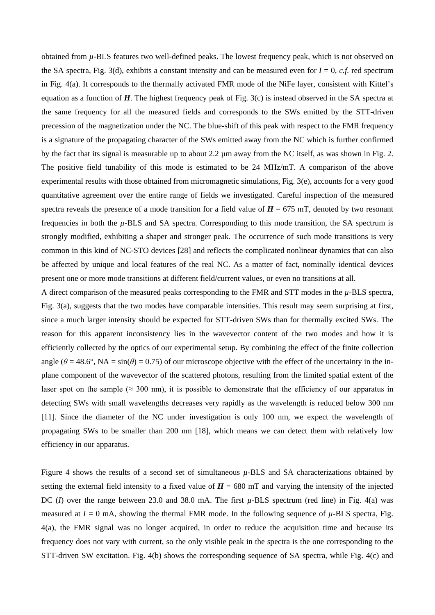obtained from *µ*-BLS features two well-defined peaks. The lowest frequency peak, which is not observed on the SA spectra, Fig. 3(d), exhibits a constant intensity and can be measured even for  $I = 0$ , *c.f.* red spectrum in Fig. 4(a). It corresponds to the thermally activated FMR mode of the NiFe layer, consistent with Kittel's equation as a function of *H*. The highest frequency peak of Fig. 3(c) is instead observed in the SA spectra at the same frequency for all the measured fields and corresponds to the SWs emitted by the STT-driven precession of the magnetization under the NC. The blue-shift of this peak with respect to the FMR frequency is a signature of the propagating character of the SWs emitted away from the NC which is further confirmed by the fact that its signal is measurable up to about 2.2  $\mu$ m away from the NC itself, as was shown in Fig. 2. The positive field tunability of this mode is estimated to be 24 MHz/mT. A comparison of the above experimental results with those obtained from micromagnetic simulations, Fig. 3(e), accounts for a very good quantitative agreement over the entire range of fields we investigated. Careful inspection of the measured spectra reveals the presence of a mode transition for a field value of  $H = 675$  mT, denoted by two resonant frequencies in both the *µ*-BLS and SA spectra. Corresponding to this mode transition, the SA spectrum is strongly modified, exhibiting a shaper and stronger peak. The occurrence of such mode transitions is very common in this kind of NC-STO devices [28] and reflects the complicated nonlinear dynamics that can also be affected by unique and local features of the real NC. As a matter of fact, nominally identical devices present one or more mode transitions at different field/current values, or even no transitions at all.

A direct comparison of the measured peaks corresponding to the FMR and STT modes in the *µ*-BLS spectra, Fig. 3(a), suggests that the two modes have comparable intensities. This result may seem surprising at first, since a much larger intensity should be expected for STT-driven SWs than for thermally excited SWs. The reason for this apparent inconsistency lies in the wavevector content of the two modes and how it is efficiently collected by the optics of our experimental setup. By combining the effect of the finite collection angle ( $\theta$  = 48.6°, NA = sin( $\theta$ ) = 0.75) of our microscope objective with the effect of the uncertainty in the inplane component of the wavevector of the scattered photons, resulting from the limited spatial extent of the laser spot on the sample ( $\approx 300$  nm), it is possible to demonstrate that the efficiency of our apparatus in detecting SWs with small wavelengths decreases very rapidly as the wavelength is reduced below 300 nm [11]. Since the diameter of the NC under investigation is only 100 nm, we expect the wavelength of propagating SWs to be smaller than 200 nm [18], which means we can detect them with relatively low efficiency in our apparatus.

Figure 4 shows the results of a second set of simultaneous *µ*-BLS and SA characterizations obtained by setting the external field intensity to a fixed value of  $H = 680$  mT and varying the intensity of the injected DC (*I*) over the range between 23.0 and 38.0 mA. The first *µ*-BLS spectrum (red line) in Fig. 4(a) was measured at  $I = 0$  mA, showing the thermal FMR mode. In the following sequence of  $\mu$ -BLS spectra, Fig. 4(a), the FMR signal was no longer acquired, in order to reduce the acquisition time and because its frequency does not vary with current, so the only visible peak in the spectra is the one corresponding to the STT-driven SW excitation. Fig. 4(b) shows the corresponding sequence of SA spectra, while Fig. 4(c) and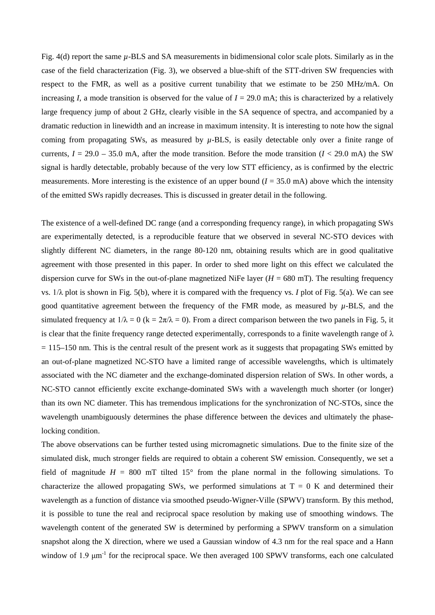Fig. 4(d) report the same  $\mu$ -BLS and SA measurements in bidimensional color scale plots. Similarly as in the case of the field characterization (Fig. 3), we observed a blue-shift of the STT-driven SW frequencies with respect to the FMR, as well as a positive current tunability that we estimate to be 250 MHz/mA. On increasing *I*, a mode transition is observed for the value of  $I = 29.0$  mA; this is characterized by a relatively large frequency jump of about 2 GHz, clearly visible in the SA sequence of spectra, and accompanied by a dramatic reduction in linewidth and an increase in maximum intensity. It is interesting to note how the signal coming from propagating SWs, as measured by *µ*-BLS, is easily detectable only over a finite range of currents,  $I = 29.0 - 35.0$  mA, after the mode transition. Before the mode transition ( $I < 29.0$  mA) the SW signal is hardly detectable, probably because of the very low STT efficiency, as is confirmed by the electric measurements. More interesting is the existence of an upper bound  $(I = 35.0 \text{ mA})$  above which the intensity of the emitted SWs rapidly decreases. This is discussed in greater detail in the following.

The existence of a well-defined DC range (and a corresponding frequency range), in which propagating SWs are experimentally detected, is a reproducible feature that we observed in several NC-STO devices with slightly different NC diameters, in the range 80-120 nm, obtaining results which are in good qualitative agreement with those presented in this paper. In order to shed more light on this effect we calculated the dispersion curve for SWs in the out-of-plane magnetized NiFe layer  $(H = 680$  mT). The resulting frequency vs. 1/λ plot is shown in Fig. 5(b), where it is compared with the frequency vs. *I* plot of Fig. 5(a). We can see good quantitative agreement between the frequency of the FMR mode, as measured by *µ*-BLS, and the simulated frequency at  $1/\lambda = 0$  (k =  $2\pi/\lambda = 0$ ). From a direct comparison between the two panels in Fig. 5, it is clear that the finite frequency range detected experimentally, corresponds to a finite wavelength range of  $\lambda$  $= 115$ –150 nm. This is the central result of the present work as it suggests that propagating SWs emitted by an out-of-plane magnetized NC-STO have a limited range of accessible wavelengths, which is ultimately associated with the NC diameter and the exchange-dominated dispersion relation of SWs. In other words, a NC-STO cannot efficiently excite exchange-dominated SWs with a wavelength much shorter (or longer) than its own NC diameter. This has tremendous implications for the synchronization of NC-STOs, since the wavelength unambiguously determines the phase difference between the devices and ultimately the phaselocking condition.

The above observations can be further tested using micromagnetic simulations. Due to the finite size of the simulated disk, much stronger fields are required to obtain a coherent SW emission. Consequently, we set a field of magnitude  $H = 800$  mT tilted 15° from the plane normal in the following simulations. To characterize the allowed propagating SWs, we performed simulations at  $T = 0$  K and determined their wavelength as a function of distance via smoothed pseudo-Wigner-Ville (SPWV) transform. By this method, it is possible to tune the real and reciprocal space resolution by making use of smoothing windows. The wavelength content of the generated SW is determined by performing a SPWV transform on a simulation snapshot along the X direction, where we used a Gaussian window of 4.3 nm for the real space and a Hann window of 1.9  $\mu$ m<sup>-1</sup> for the reciprocal space. We then averaged 100 SPWV transforms, each one calculated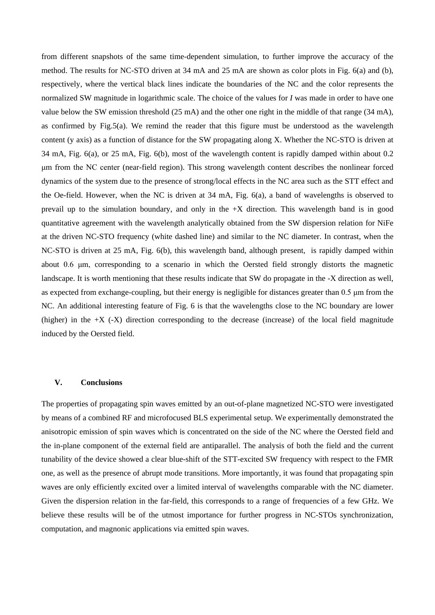from different snapshots of the same time-dependent simulation, to further improve the accuracy of the method. The results for NC-STO driven at 34 mA and 25 mA are shown as color plots in Fig. 6(a) and (b), respectively, where the vertical black lines indicate the boundaries of the NC and the color represents the normalized SW magnitude in logarithmic scale. The choice of the values for *I* was made in order to have one value below the SW emission threshold (25 mA) and the other one right in the middle of that range (34 mA), as confirmed by Fig.5(a). We remind the reader that this figure must be understood as the wavelength content (y axis) as a function of distance for the SW propagating along X. Whether the NC-STO is driven at 34 mA, Fig. 6(a), or 25 mA, Fig. 6(b), most of the wavelength content is rapidly damped within about 0.2 μm from the NC center (near-field region). This strong wavelength content describes the nonlinear forced dynamics of the system due to the presence of strong/local effects in the NC area such as the STT effect and the Oe-field. However, when the NC is driven at 34 mA, Fig. 6(a), a band of wavelengths is observed to prevail up to the simulation boundary, and only in the +X direction. This wavelength band is in good quantitative agreement with the wavelength analytically obtained from the SW dispersion relation for NiFe at the driven NC-STO frequency (white dashed line) and similar to the NC diameter. In contrast, when the NC-STO is driven at 25 mA, Fig. 6(b), this wavelength band, although present, is rapidly damped within about 0.6 μm, corresponding to a scenario in which the Oersted field strongly distorts the magnetic landscape. It is worth mentioning that these results indicate that SW do propagate in the -X direction as well, as expected from exchange-coupling, but their energy is negligible for distances greater than 0.5 μm from the NC. An additional interesting feature of Fig. 6 is that the wavelengths close to the NC boundary are lower (higher) in the  $+X$  ( $-X$ ) direction corresponding to the decrease (increase) of the local field magnitude induced by the Oersted field.

# **V. Conclusions**

The properties of propagating spin waves emitted by an out-of-plane magnetized NC-STO were investigated by means of a combined RF and microfocused BLS experimental setup. We experimentally demonstrated the anisotropic emission of spin waves which is concentrated on the side of the NC where the Oersted field and the in-plane component of the external field are antiparallel. The analysis of both the field and the current tunability of the device showed a clear blue-shift of the STT-excited SW frequency with respect to the FMR one, as well as the presence of abrupt mode transitions. More importantly, it was found that propagating spin waves are only efficiently excited over a limited interval of wavelengths comparable with the NC diameter. Given the dispersion relation in the far-field, this corresponds to a range of frequencies of a few GHz. We believe these results will be of the utmost importance for further progress in NC-STOs synchronization, computation, and magnonic applications via emitted spin waves.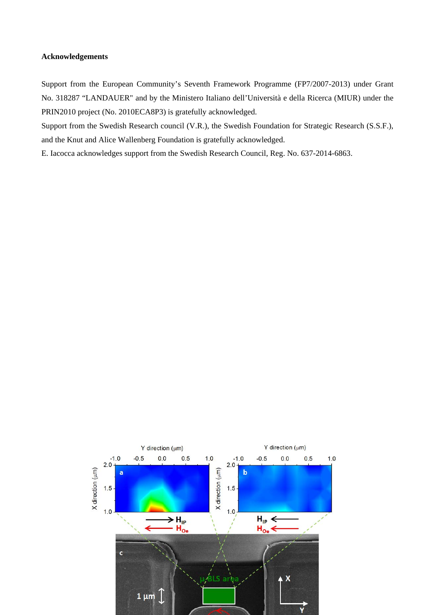# **Acknowledgements**

Support from the European Community's Seventh Framework Programme (FP7/2007-2013) under Grant No. 318287 "LANDAUER" and by the Ministero Italiano dell'Università e della Ricerca (MIUR) under the PRIN2010 project (No. 2010ECA8P3) is gratefully acknowledged.

Support from the Swedish Research council (V.R.), the Swedish Foundation for Strategic Research (S.S.F.), and the Knut and Alice Wallenberg Foundation is gratefully acknowledged.

E. Iacocca acknowledges support from the Swedish Research Council, Reg. No. 637-2014-6863.

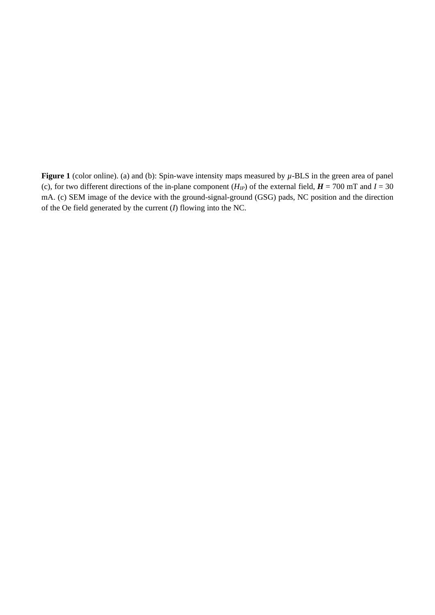**Figure 1** (color online). (a) and (b): Spin-wave intensity maps measured by  $\mu$ -BLS in the green area of panel (c), for two different directions of the in-plane component  $(H_{IP})$  of the external field,  $H = 700$  mT and  $I = 30$ mA. (c) SEM image of the device with the ground-signal-ground (GSG) pads, NC position and the direction of the Oe field generated by the current (*I*) flowing into the NC.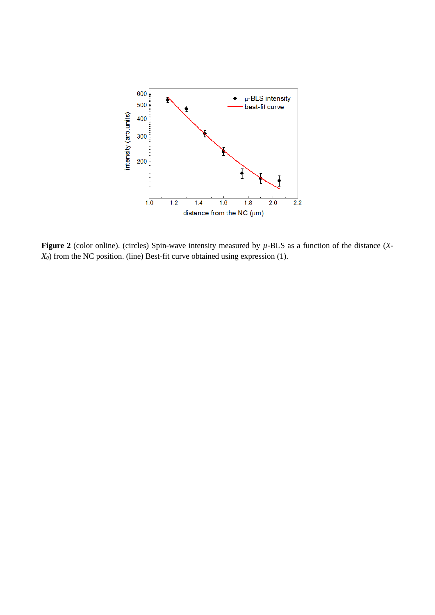

**Figure 2** (color online). (circles) Spin-wave intensity measured by *µ*-BLS as a function of the distance (*X-X0*) from the NC position. (line) Best-fit curve obtained using expression (1).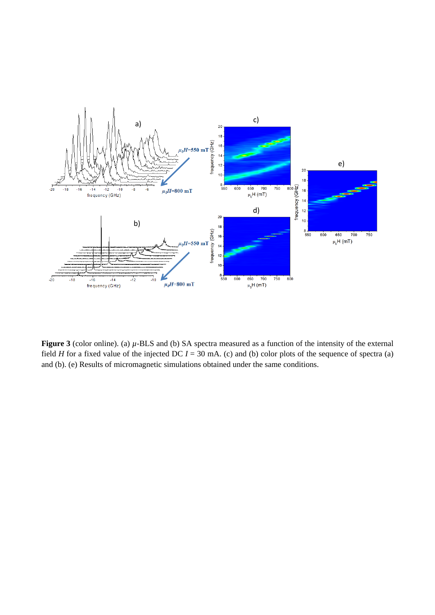

**Figure 3** (color online). (a)  $\mu$ -BLS and (b) SA spectra measured as a function of the intensity of the external field *H* for a fixed value of the injected DC  $I = 30$  mA. (c) and (b) color plots of the sequence of spectra (a) and (b). (e) Results of micromagnetic simulations obtained under the same conditions.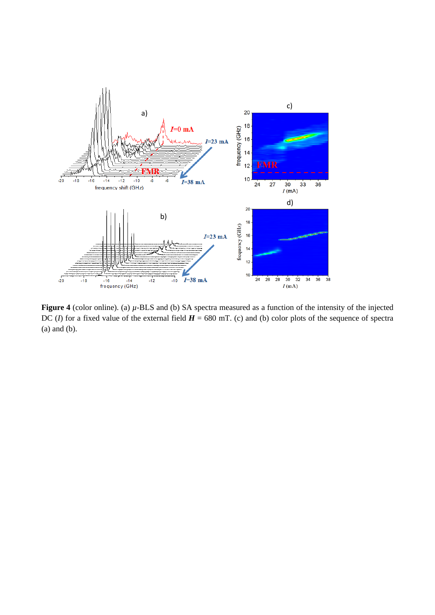

**Figure 4** (color online). (a) *µ*-BLS and (b) SA spectra measured as a function of the intensity of the injected DC (*I*) for a fixed value of the external field  $H = 680$  mT. (c) and (b) color plots of the sequence of spectra (a) and (b).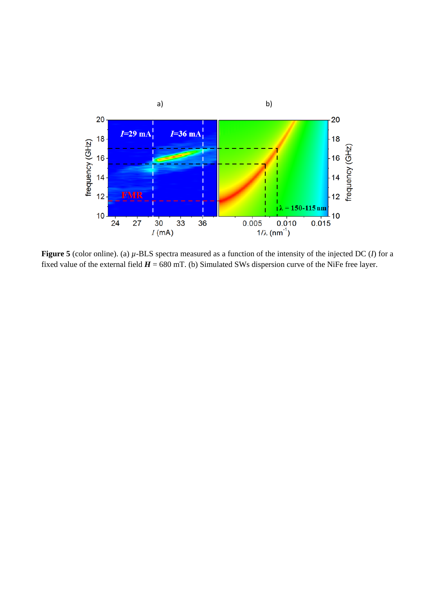

**Figure 5** (color online). (a) *µ*-BLS spectra measured as a function of the intensity of the injected DC (*I*) for a fixed value of the external field  $H = 680$  mT. (b) Simulated SWs dispersion curve of the NiFe free layer.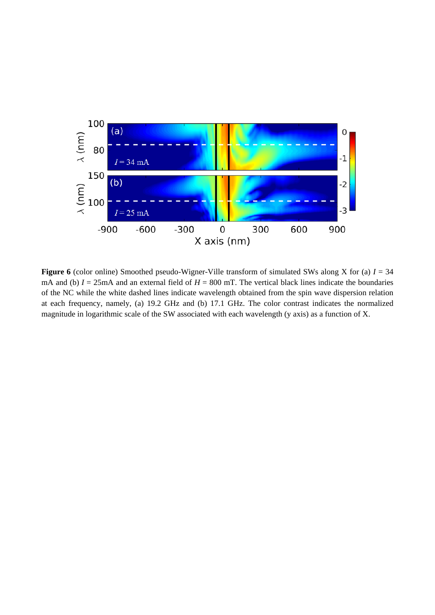

**Figure 6** (color online) Smoothed pseudo-Wigner-Ville transform of simulated SWs along X for (a) *I* = 34 mA and (b)  $I = 25$ mA and an external field of  $H = 800$  mT. The vertical black lines indicate the boundaries of the NC while the white dashed lines indicate wavelength obtained from the spin wave dispersion relation at each frequency, namely, (a) 19.2 GHz and (b) 17.1 GHz. The color contrast indicates the normalized magnitude in logarithmic scale of the SW associated with each wavelength (y axis) as a function of X.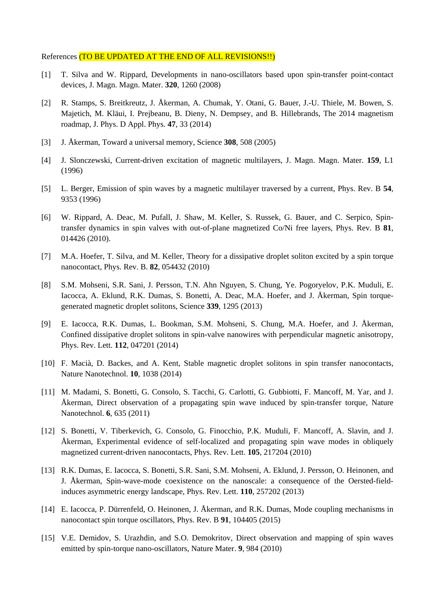### References (TO BE UPDATED AT THE END OF ALL REVISIONS!!)

- [1] T. Silva and W. Rippard, Developments in nano-oscillators based upon spin-transfer point-contact devices, J. Magn. Magn. Mater. **320**, 1260 (2008)
- [2] R. Stamps, S. Breitkreutz, J. Åkerman, A. Chumak, Y. Otani, G. Bauer, J.-U. Thiele, M. Bowen, S. Majetich, M. Kläui, I. Prejbeanu, B. Dieny, N. Dempsey, and B. Hillebrands, The 2014 magnetism roadmap, J. Phys. D Appl. Phys. **47**, 33 (2014)
- [3] J. Åkerman, Toward a universal memory, Science **308**, 508 (2005)
- [4] J. Slonczewski, Current-driven excitation of magnetic multilayers, J. Magn. Magn. Mater. **159**, L1 (1996)
- [5] L. Berger, Emission of spin waves by a magnetic multilayer traversed by a current, Phys. Rev. B **54**, 9353 (1996)
- [6] W. Rippard, A. Deac, M. Pufall, J. Shaw, M. Keller, S. Russek, G. Bauer, and C. Serpico, Spintransfer dynamics in spin valves with out-of-plane magnetized Co/Ni free layers, Phys. Rev. B **81**, 014426 (2010).
- [7] M.A. Hoefer, T. Silva, and M. Keller, Theory for a dissipative droplet soliton excited by a spin torque nanocontact, Phys. Rev. B. **82**, 054432 (2010)
- [8] S.M. Mohseni, S.R. Sani, J. Persson, T.N. Ahn Nguyen, S. Chung, Ye. Pogoryelov, P.K. Muduli, E. Iacocca, A. Eklund, R.K. Dumas, S. Bonetti, A. Deac, M.A. Hoefer, and J. Åkerman, Spin torquegenerated magnetic droplet solitons, Science **339**, 1295 (2013)
- [9] E. Iacocca, R.K. Dumas, L. Bookman, S.M. Mohseni, S. Chung, M.A. Hoefer, and J. Åkerman, Confined dissipative droplet solitons in spin-valve nanowires with perpendicular magnetic anisotropy, Phys. Rev. Lett. **112**, 047201 (2014)
- [10] F. Macià, D. Backes, and A. Kent, Stable magnetic droplet solitons in spin transfer nanocontacts, Nature Nanotechnol. **10**, 1038 (2014)
- [11] M. Madami, S. Bonetti, G. Consolo, S. Tacchi, G. Carlotti, G. Gubbiotti, F. Mancoff, M. Yar, and J. Åkerman, Direct observation of a propagating spin wave induced by spin-transfer torque, Nature Nanotechnol. **6**, 635 (2011)
- [12] S. Bonetti, V. Tiberkevich, G. Consolo, G. Finocchio, P.K. Muduli, F. Mancoff, A. Slavin, and J. Åkerman, Experimental evidence of self-localized and propagating spin wave modes in obliquely magnetized current-driven nanocontacts, Phys. Rev. Lett. **105**, 217204 (2010)
- [13] R.K. Dumas, E. Iacocca, S. Bonetti, S.R. Sani, S.M. Mohseni, A. Eklund, J. Persson, O. Heinonen, and J. Åkerman, Spin-wave-mode coexistence on the nanoscale: a consequence of the Oersted-fieldinduces asymmetric energy landscape, Phys. Rev. Lett. **110**, 257202 (2013)
- [14] E. Iacocca, P. Dürrenfeld, O. Heinonen, J. Åkerman, and R.K. Dumas, Mode coupling mechanisms in nanocontact spin torque oscillators, Phys. Rev. B **91**, 104405 (2015)
- [15] V.E. Demidov, S. Urazhdin, and S.O. Demokritov, Direct observation and mapping of spin waves emitted by spin-torque nano-oscillators, Nature Mater. **9**, 984 (2010)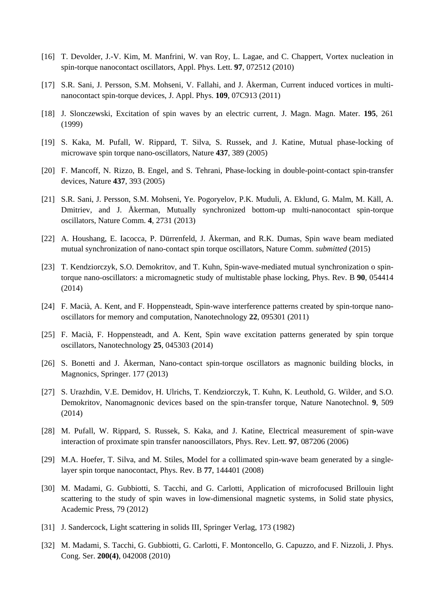- [16] T. Devolder, J.-V. Kim, M. Manfrini, W. van Roy, L. Lagae, and C. Chappert, Vortex nucleation in spin-torque nanocontact oscillators, Appl. Phys. Lett. **97**, 072512 (2010)
- [17] S.R. Sani, J. Persson, S.M. Mohseni, V. Fallahi, and J. Åkerman, Current induced vortices in multinanocontact spin-torque devices, J. Appl. Phys. **109**, 07C913 (2011)
- [18] J. Slonczewski, Excitation of spin waves by an electric current, J. Magn. Magn. Mater. **195**, 261 (1999)
- [19] S. Kaka, M. Pufall, W. Rippard, T. Silva, S. Russek, and J. Katine, Mutual phase-locking of microwave spin torque nano-oscillators, Nature **437**, 389 (2005)
- [20] F. Mancoff, N. Rizzo, B. Engel, and S. Tehrani, Phase-locking in double-point-contact spin-transfer devices, Nature **437**, 393 (2005)
- [21] S.R. Sani, J. Persson, S.M. Mohseni, Ye. Pogoryelov, P.K. Muduli, A. Eklund, G. Malm, M. Käll, A. Dmitriev, and J. Åkerman, Mutually synchronized bottom-up multi-nanocontact spin-torque oscillators, Nature Comm. **4**, 2731 (2013)
- [22] A. Houshang, E. Iacocca, P. Dürrenfeld, J. Åkerman, and R.K. Dumas, Spin wave beam mediated mutual synchronization of nano-contact spin torque oscillators, Nature Comm. *submitted* (2015)
- [23] T. Kendziorczyk, S.O. Demokritov, and T. Kuhn, Spin-wave-mediated mutual synchronization o spintorque nano-oscillators: a micromagnetic study of multistable phase locking, Phys. Rev. B **90**, 054414 (2014)
- [24] F. Macià, A. Kent, and F. Hoppensteadt, Spin-wave interference patterns created by spin-torque nanooscillators for memory and computation, Nanotechnology **22**, 095301 (2011)
- [25] F. Macià, F. Hoppensteadt, and A. Kent, Spin wave excitation patterns generated by spin torque oscillators, Nanotechnology **25**, 045303 (2014)
- [26] S. Bonetti and J. Åkerman, Nano-contact spin-torque oscillators as magnonic building blocks, in Magnonics, Springer. 177 (2013)
- [27] S. Urazhdin, V.E. Demidov, H. Ulrichs, T. Kendziorczyk, T. Kuhn, K. Leuthold, G. Wilder, and S.O. Demokritov, Nanomagnonic devices based on the spin-transfer torque, Nature Nanotechnol. **9**, 509 (2014)
- [28] M. Pufall, W. Rippard, S. Russek, S. Kaka, and J. Katine, Electrical measurement of spin-wave interaction of proximate spin transfer nanooscillators, Phys. Rev. Lett. **97**, 087206 (2006)
- [29] M.A. Hoefer, T. Silva, and M. Stiles, Model for a collimated spin-wave beam generated by a singlelayer spin torque nanocontact, Phys. Rev. B **77**, 144401 (2008)
- [30] M. Madami, G. Gubbiotti, S. Tacchi, and G. Carlotti, Application of microfocused Brillouin light scattering to the study of spin waves in low-dimensional magnetic systems, in Solid state physics, Academic Press, 79 (2012)
- [31] J. Sandercock, Light scattering in solids III, Springer Verlag, 173 (1982)
- [32] M. Madami, S. Tacchi, G. Gubbiotti, G. Carlotti, F. Montoncello, G. Capuzzo, and F. Nizzoli, J. Phys. Cong. Ser. **200(4)**, 042008 (2010)